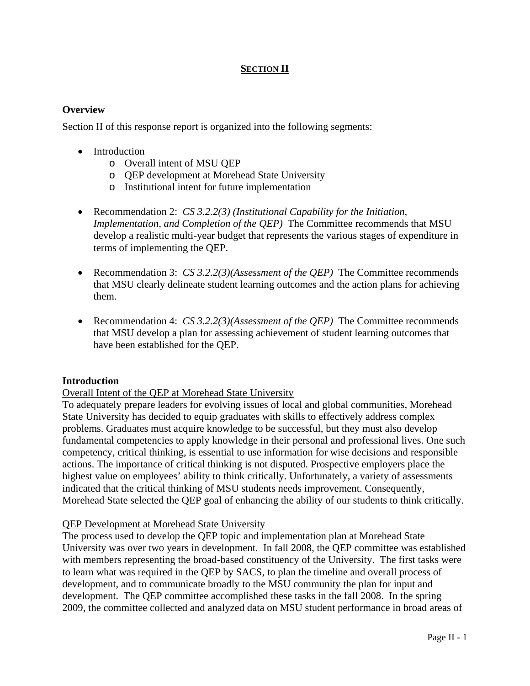# **SECTION II**

# **Overview**

Section II of this response report is organized into the following segments:

- Introduction
	- o Overall intent of MSU QEP
	- o QEP development at Morehead State University
	- o Institutional intent for future implementation
- Recommendation 2: *CS 3.2.2(3) (Institutional Capability for the Initiation, Implementation, and Completion of the QEP)* The Committee recommends that MSU develop a realistic multi-year budget that represents the various stages of expenditure in terms of implementing the QEP.
- Recommendation 3: *CS 3.2.2(3)(Assessment of the QEP)* The Committee recommends that MSU clearly delineate student learning outcomes and the action plans for achieving them.
- Recommendation 4: *CS 3.2.2(3)(Assessment of the QEP)* The Committee recommends that MSU develop a plan for assessing achievement of student learning outcomes that have been established for the QEP.

#### **Introduction**

Overall Intent of the QEP at Morehead State University

To adequately prepare leaders for evolving issues of local and global communities, Morehead State University has decided to equip graduates with skills to effectively address complex problems. Graduates must acquire knowledge to be successful, but they must also develop fundamental competencies to apply knowledge in their personal and professional lives. One such competency, critical thinking, is essential to use information for wise decisions and responsible actions. The importance of critical thinking is not disputed. Prospective employers place the highest value on employees' ability to think critically. Unfortunately, a variety of assessments indicated that the critical thinking of MSU students needs improvement. Consequently, Morehead State selected the QEP goal of enhancing the ability of our students to think critically.

# QEP Development at Morehead State University

The process used to develop the QEP topic and implementation plan at Morehead State University was over two years in development. In fall 2008, the QEP committee was established with members representing the broad-based constituency of the University. The first tasks were to learn what was required in the QEP by SACS, to plan the timeline and overall process of development, and to communicate broadly to the MSU community the plan for input and development. The QEP committee accomplished these tasks in the fall 2008. In the spring 2009, the committee collected and analyzed data on MSU student performance in broad areas of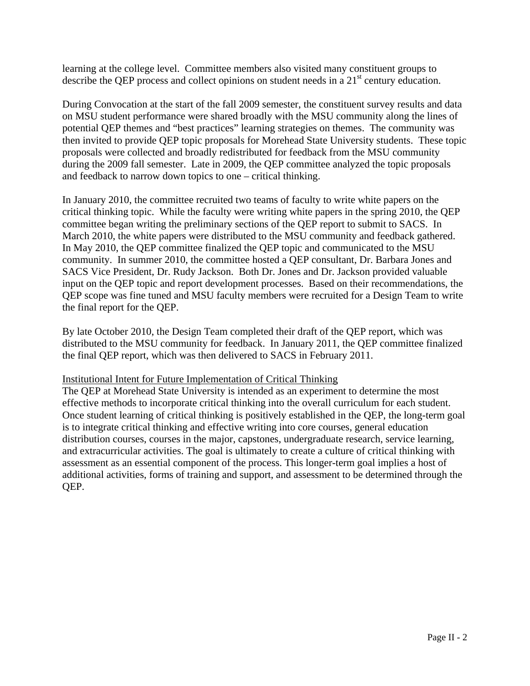learning at the college level. Committee members also visited many constituent groups to describe the QEP process and collect opinions on student needs in a  $21<sup>st</sup>$  century education.

During Convocation at the start of the fall 2009 semester, the constituent survey results and data on MSU student performance were shared broadly with the MSU community along the lines of potential QEP themes and "best practices" learning strategies on themes. The community was then invited to provide QEP topic proposals for Morehead State University students. These topic proposals were collected and broadly redistributed for feedback from the MSU community during the 2009 fall semester. Late in 2009, the QEP committee analyzed the topic proposals and feedback to narrow down topics to one – critical thinking.

In January 2010, the committee recruited two teams of faculty to write white papers on the critical thinking topic. While the faculty were writing white papers in the spring 2010, the QEP committee began writing the preliminary sections of the QEP report to submit to SACS. In March 2010, the white papers were distributed to the MSU community and feedback gathered. In May 2010, the QEP committee finalized the QEP topic and communicated to the MSU community. In summer 2010, the committee hosted a QEP consultant, Dr. Barbara Jones and SACS Vice President, Dr. Rudy Jackson. Both Dr. Jones and Dr. Jackson provided valuable input on the QEP topic and report development processes. Based on their recommendations, the QEP scope was fine tuned and MSU faculty members were recruited for a Design Team to write the final report for the QEP.

By late October 2010, the Design Team completed their draft of the QEP report, which was distributed to the MSU community for feedback. In January 2011, the QEP committee finalized the final QEP report, which was then delivered to SACS in February 2011.

#### Institutional Intent for Future Implementation of Critical Thinking

The QEP at Morehead State University is intended as an experiment to determine the most effective methods to incorporate critical thinking into the overall curriculum for each student. Once student learning of critical thinking is positively established in the QEP, the long-term goal is to integrate critical thinking and effective writing into core courses, general education distribution courses, courses in the major, capstones, undergraduate research, service learning, and extracurricular activities. The goal is ultimately to create a culture of critical thinking with assessment as an essential component of the process. This longer-term goal implies a host of additional activities, forms of training and support, and assessment to be determined through the QEP.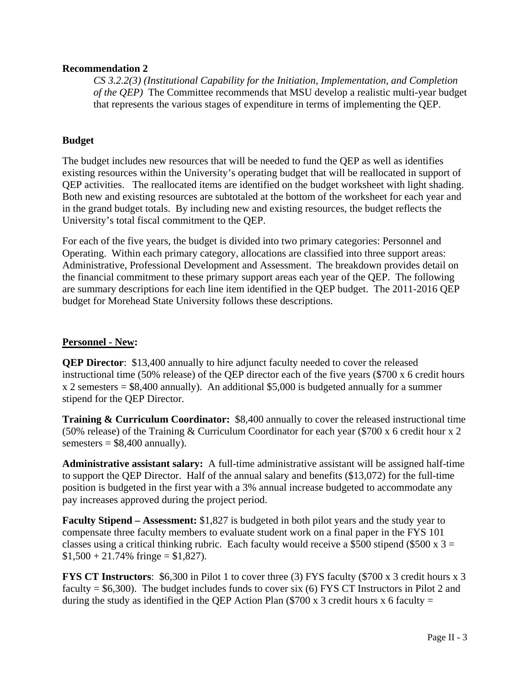#### **Recommendation 2**

*CS 3.2.2(3) (Institutional Capability for the Initiation, Implementation, and Completion of the QEP)* The Committee recommends that MSU develop a realistic multi-year budget that represents the various stages of expenditure in terms of implementing the QEP.

#### **Budget**

The budget includes new resources that will be needed to fund the QEP as well as identifies existing resources within the University's operating budget that will be reallocated in support of QEP activities. The reallocated items are identified on the budget worksheet with light shading. Both new and existing resources are subtotaled at the bottom of the worksheet for each year and in the grand budget totals. By including new and existing resources, the budget reflects the University's total fiscal commitment to the QEP.

For each of the five years, the budget is divided into two primary categories: Personnel and Operating. Within each primary category, allocations are classified into three support areas: Administrative, Professional Development and Assessment. The breakdown provides detail on the financial commitment to these primary support areas each year of the QEP. The following are summary descriptions for each line item identified in the QEP budget. The 2011-2016 QEP budget for Morehead State University follows these descriptions.

#### **Personnel - New:**

**QEP Director**: \$13,400 annually to hire adjunct faculty needed to cover the released instructional time (50% release) of the QEP director each of the five years (\$700 x 6 credit hours x 2 semesters = \$8,400 annually). An additional \$5,000 is budgeted annually for a summer stipend for the QEP Director.

**Training & Curriculum Coordinator:** \$8,400 annually to cover the released instructional time (50% release) of the Training & Curriculum Coordinator for each year (\$700 x 6 credit hour x 2 semesters  $= $8,400$  annually).

**Administrative assistant salary:** A full-time administrative assistant will be assigned half-time to support the QEP Director. Half of the annual salary and benefits (\$13,072) for the full-time position is budgeted in the first year with a 3% annual increase budgeted to accommodate any pay increases approved during the project period.

**Faculty Stipend – Assessment:** \$1,827 is budgeted in both pilot years and the study year to compensate three faculty members to evaluate student work on a final paper in the FYS 101 classes using a critical thinking rubric. Each faculty would receive a \$500 stipend (\$500 x  $3 =$  $$1,500 + 21.74\%$  fringe = \$1,827).

**FYS CT Instructors:** \$6,300 in Pilot 1 to cover three (3) FYS faculty (\$700 x 3 credit hours x 3 faculty  $= $6,300$ ). The budget includes funds to cover six (6) FYS CT Instructors in Pilot 2 and during the study as identified in the QEP Action Plan (\$700 x 3 credit hours x 6 faculty =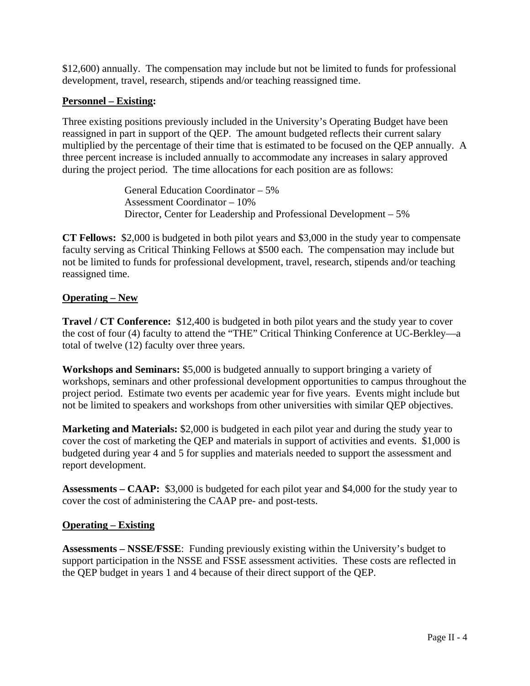\$12,600) annually. The compensation may include but not be limited to funds for professional development, travel, research, stipends and/or teaching reassigned time.

# **Personnel – Existing:**

Three existing positions previously included in the University's Operating Budget have been reassigned in part in support of the QEP. The amount budgeted reflects their current salary multiplied by the percentage of their time that is estimated to be focused on the QEP annually. A three percent increase is included annually to accommodate any increases in salary approved during the project period. The time allocations for each position are as follows:

> General Education Coordinator – 5% Assessment Coordinator – 10% Director, Center for Leadership and Professional Development – 5%

**CT Fellows:** \$2,000 is budgeted in both pilot years and \$3,000 in the study year to compensate faculty serving as Critical Thinking Fellows at \$500 each. The compensation may include but not be limited to funds for professional development, travel, research, stipends and/or teaching reassigned time.

# **Operating – New**

**Travel / CT Conference:** \$12,400 is budgeted in both pilot years and the study year to cover the cost of four (4) faculty to attend the "THE" Critical Thinking Conference at UC-Berkley—a total of twelve (12) faculty over three years.

**Workshops and Seminars:** \$5,000 is budgeted annually to support bringing a variety of workshops, seminars and other professional development opportunities to campus throughout the project period. Estimate two events per academic year for five years. Events might include but not be limited to speakers and workshops from other universities with similar QEP objectives.

**Marketing and Materials:** \$2,000 is budgeted in each pilot year and during the study year to cover the cost of marketing the QEP and materials in support of activities and events. \$1,000 is budgeted during year 4 and 5 for supplies and materials needed to support the assessment and report development.

**Assessments – CAAP:** \$3,000 is budgeted for each pilot year and \$4,000 for the study year to cover the cost of administering the CAAP pre- and post-tests.

# **Operating – Existing**

**Assessments – NSSE/FSSE**: Funding previously existing within the University's budget to support participation in the NSSE and FSSE assessment activities. These costs are reflected in the QEP budget in years 1 and 4 because of their direct support of the QEP.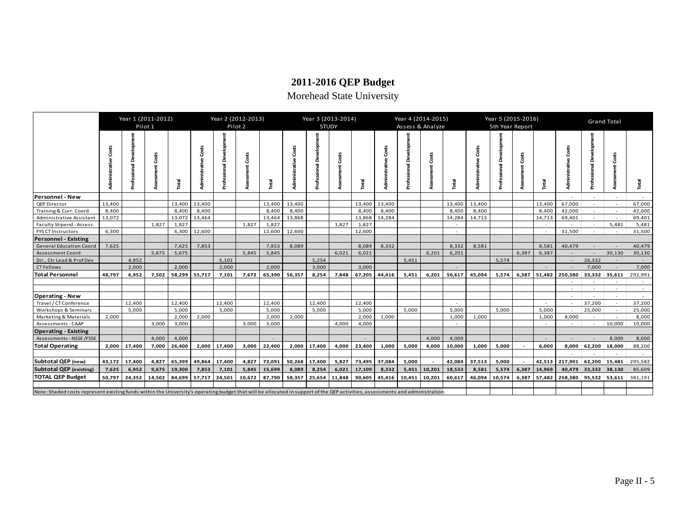# **2011-2016 QEP Budget**

# Morehead State University

|                                                                                                                                                                              |        |                       | Year 1 (2011-2012)<br>Pilot 1 |        |               |                    | Year 2 (2012-2013)<br>Pilot <sub>2</sub> |        |                    | Year 3 (2013-2014)<br><b>STUDY</b> |        |                |                         |               | Year 4 (2014-2015)<br>Assess & Analyze |        |        | Year 5 (2015-2016)<br>5th Year Report |            |                |                                    |                      | <b>Grand Total</b> |         |
|------------------------------------------------------------------------------------------------------------------------------------------------------------------------------|--------|-----------------------|-------------------------------|--------|---------------|--------------------|------------------------------------------|--------|--------------------|------------------------------------|--------|----------------|-------------------------|---------------|----------------------------------------|--------|--------|---------------------------------------|------------|----------------|------------------------------------|----------------------|--------------------|---------|
|                                                                                                                                                                              | ਣ੍ਹ    | Development<br>동<br>Ĕ |                               | Total  | Administrativ | polon<br>ਨ<br>Prof |                                          | Total  | ā<br>Administrativ | Development<br>onal<br>Professi    | Costs  | Total          | Costs<br>Administrative | පී<br>Ĕ       | Costs<br>ŧ                             | Total  |        | velopr<br>Ō<br>Ĕ                      | Costs<br>ு | Total          | š<br>Administrativ                 |                      | Costs<br>ŧ         | Total   |
| <b>Personnel - New</b>                                                                                                                                                       |        |                       |                               |        |               |                    |                                          |        |                    |                                    |        |                |                         |               |                                        |        |        |                                       |            |                |                                    |                      |                    |         |
| QEP Director                                                                                                                                                                 | 13,400 |                       |                               | 13,400 | 13,400        |                    |                                          | 13,400 | 13,400             |                                    |        | 13,400         | 13,400                  |               |                                        | 13,400 | 13,400 |                                       |            | 13,400         | 67,000                             |                      | $\sim$             | 67,000  |
| Training & Curr. Coord                                                                                                                                                       | 8.400  |                       |                               | 8.400  | 8.400         |                    |                                          | 8.400  | 8.400              |                                    |        | 8.400          | 8.400                   |               |                                        | 8.400  | 8.400  |                                       |            | 8.400          | 42.000                             |                      |                    | 42,000  |
| Administrative Assistant                                                                                                                                                     | 13,072 |                       |                               | 13,072 | 13,464        |                    |                                          | 13,464 | 13,868             |                                    |        | 13,868         | 14,284                  |               |                                        | 14,284 | 14,713 |                                       |            | 14,713         | 69,401                             |                      | $\sim$             | 69,401  |
| Faculty Stipend - Assess.                                                                                                                                                    |        |                       | 1.827                         | 1.827  |               |                    | 1.827                                    | 1.827  |                    |                                    | 1.827  | 1.827          |                         |               |                                        |        |        |                                       |            |                |                                    |                      | 5,481              | 5,481   |
| <b>FYS CT Instructors</b>                                                                                                                                                    | 6,300  |                       |                               | 6,300  | 12,600        |                    |                                          | 12,600 | 12,600             |                                    |        | 12,600         |                         |               |                                        |        |        |                                       |            |                | 31.500                             |                      |                    | 31,500  |
| <b>Personnel - Existing</b>                                                                                                                                                  |        |                       |                               |        |               |                    |                                          |        |                    |                                    |        |                |                         |               |                                        |        |        |                                       |            |                |                                    |                      |                    |         |
| <b>General Education Coord</b>                                                                                                                                               | 7,625  |                       |                               | 7,625  | 7,853         |                    |                                          | 7,853  | 8,089              |                                    |        | 8,089          | 8,332                   |               |                                        | 8,332  | 8,581  |                                       |            | 8,581          | 40,479                             |                      |                    | 40,479  |
| Assessment Coord                                                                                                                                                             |        |                       | 5.675                         | 5,675  |               |                    | 5.845                                    | 5.845  |                    |                                    | 6.021  | 6,021          |                         |               | 6.201                                  | 6,201  |        |                                       | 6.387      | 6,387          |                                    |                      | 30.130             | 30,130  |
| Dir., Ctr Lead & Prof Dev                                                                                                                                                    |        | 4,952                 |                               |        |               | 5,101              |                                          |        |                    | 5,254                              |        |                |                         | 5,451         |                                        |        |        | 5,574                                 |            |                |                                    | 26,332               | $\sim$             |         |
| <b>CT Fellows</b>                                                                                                                                                            |        | 2,000                 |                               | 2,000  |               | 2,000              |                                          | 2,000  |                    | 3,000                              |        | 3,000          |                         |               |                                        |        |        |                                       |            |                |                                    | 7,000                |                    | 7,000   |
| <b>Total Personnel</b>                                                                                                                                                       | 48,797 | 6,952                 | 7,502                         |        | 58,299 55,717 | 7,101              | 7,672                                    | 65,390 | 56,357             | 8,254                              | 7,848  | 67,205         | 44,416                  | 5,451         | 6,201                                  | 50,617 | 45,094 | 5,574                                 | 6,387      |                | 51,482 250,380                     | 33,332 35,611        |                    | 292,991 |
|                                                                                                                                                                              |        |                       |                               |        |               |                    |                                          |        |                    |                                    |        |                |                         |               |                                        |        |        |                                       |            |                |                                    |                      | $\sim$             |         |
| <b>Operating - New</b>                                                                                                                                                       |        |                       |                               |        |               |                    |                                          |        |                    |                                    |        |                |                         |               |                                        |        |        |                                       |            |                |                                    |                      |                    |         |
| Travel / CT Conference                                                                                                                                                       |        | 12.400                |                               | 12,400 |               | 12.400             |                                          | 12.400 |                    | 12.400                             |        | 12,400         |                         |               |                                        |        |        |                                       |            |                |                                    | 37,200               |                    | 37.200  |
| Workshops & Seminars                                                                                                                                                         |        | 5,000                 |                               | 5,000  |               | 5,000              |                                          | 5.000  |                    | 5,000                              |        | 5,000          |                         | 5,000         |                                        | 5.000  |        | 5.000                                 |            | 5,000          |                                    | 25,000               | $\sim$             | 25,000  |
| Marketing & Materials                                                                                                                                                        | 2.000  |                       |                               | 2,000  | 2,000         |                    |                                          | 2,000  | 2,000              |                                    |        | 2,000          | 1,000                   |               |                                        | 1,000  | 1.000  |                                       |            | 1,000          | 8,000                              |                      |                    | 8,000   |
| Assessments - CAAP                                                                                                                                                           |        |                       | 3,000                         | 3,000  |               |                    | 3,000                                    | 3,000  |                    |                                    | 4.000  | 4.000          |                         |               |                                        |        |        |                                       |            |                |                                    | $\sim$               | 10,000             | 10,000  |
| <b>Operating - Existing</b>                                                                                                                                                  |        |                       |                               |        |               |                    |                                          |        |                    |                                    |        |                |                         |               |                                        |        |        |                                       |            |                |                                    |                      |                    |         |
| Assessments - NSSE /FSSE                                                                                                                                                     |        |                       | 4.000                         | 4,000  |               |                    |                                          |        |                    |                                    |        |                |                         |               | 4.000                                  | 4.000  |        |                                       |            | $\sim$         |                                    |                      | 8,000              | 8,000   |
| <b>Total Operating</b>                                                                                                                                                       | 2,000  | 17,400                | 7,000                         | 26,400 | 2,000         | 17,400             | 3,000                                    | 22,400 | 2,000              | 17,400                             | 4,000  | 23,400         | 1.000                   | 5,000         | 4,000                                  | 10,000 | 1,000  | 5,000                                 |            | 6.000          | 8,000                              | 62,200 18,000        |                    | 88,200  |
| Subtotal QEP (new)                                                                                                                                                           |        |                       |                               |        |               |                    |                                          |        |                    |                                    |        |                |                         |               |                                        |        |        |                                       |            |                |                                    |                      |                    |         |
|                                                                                                                                                                              |        | 43,172 17,400         | 4,827                         | 65,399 | 49,864 17,400 |                    | 4,827                                    | 72,091 | 50,268 17,400      |                                    |        | 5,827 73,495   | 37,084                  | 5.000         |                                        | 42,084 | 37,513 | 5,000                                 |            |                | 42,513 217,901 62,200 15,481       |                      |                    | 295.582 |
| <b>Subtotal QEP</b> (existing)                                                                                                                                               | 7,625  | 6,952                 | 9,675                         | 19,300 | 7,853         | 7,101              | 5,845                                    | 15,699 | 8,089              | 8,254                              |        | $6,021$ 17,109 | 8,332                   | 5,451         | 10,201                                 | 18,533 | 8,581  | 5,574                                 |            | $6,387$ 14,969 |                                    | 40,479 33,332 38,130 |                    | 85,609  |
| <b>TOTAL QEP Budget</b>                                                                                                                                                      | 50,797 | 24,352                | 14,502                        | 84,699 | 57,717        | 24,501             | 10,672                                   | 87,790 | 58,357             | 25,654                             | 11,848 | 90,605         |                         | 45,416 10,451 | 10,201                                 | 60,617 | 46,094 | 10,574                                |            |                | 6,387 57,482 258,380 95,532 53,611 |                      |                    | 381,191 |
| Note: Shaded costs represent existing funds within the University's operating budget that will be allocated in support of the QEP activities, assessments and administration |        |                       |                               |        |               |                    |                                          |        |                    |                                    |        |                |                         |               |                                        |        |        |                                       |            |                |                                    |                      |                    |         |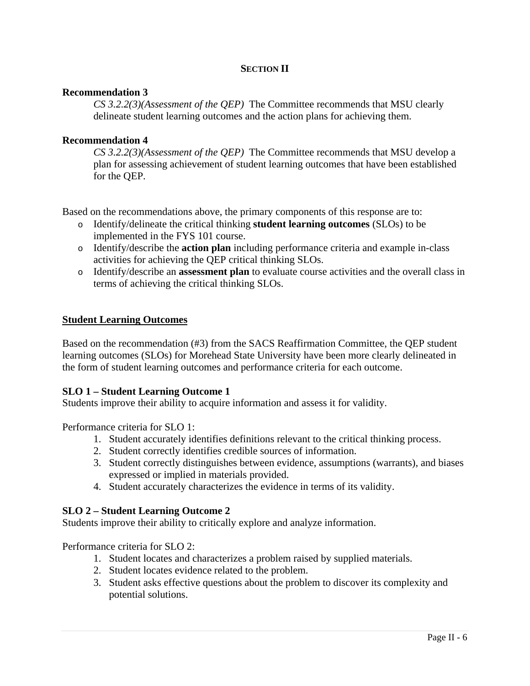# **SECTION II**

# **Recommendation 3**

*CS 3.2.2(3)(Assessment of the QEP)* The Committee recommends that MSU clearly delineate student learning outcomes and the action plans for achieving them.

#### **Recommendation 4**

*CS 3.2.2(3)(Assessment of the QEP)* The Committee recommends that MSU develop a plan for assessing achievement of student learning outcomes that have been established for the QEP.

Based on the recommendations above, the primary components of this response are to:

- o Identify/delineate the critical thinking **student learning outcomes** (SLOs) to be implemented in the FYS 101 course.
- o Identify/describe the **action plan** including performance criteria and example in-class activities for achieving the QEP critical thinking SLOs.
- o Identify/describe an **assessment plan** to evaluate course activities and the overall class in terms of achieving the critical thinking SLOs.

# **Student Learning Outcomes**

Based on the recommendation (#3) from the SACS Reaffirmation Committee, the QEP student learning outcomes (SLOs) for Morehead State University have been more clearly delineated in the form of student learning outcomes and performance criteria for each outcome.

#### **SLO 1 – Student Learning Outcome 1**

Students improve their ability to acquire information and assess it for validity.

Performance criteria for SLO 1:

- 1. Student accurately identifies definitions relevant to the critical thinking process.
- 2. Student correctly identifies credible sources of information.
- 3. Student correctly distinguishes between evidence, assumptions (warrants), and biases expressed or implied in materials provided.
- 4. Student accurately characterizes the evidence in terms of its validity.

#### **SLO 2 – Student Learning Outcome 2**

Students improve their ability to critically explore and analyze information.

Performance criteria for SLO 2:

- 1. Student locates and characterizes a problem raised by supplied materials.
- 2. Student locates evidence related to the problem.
- 3. Student asks effective questions about the problem to discover its complexity and potential solutions.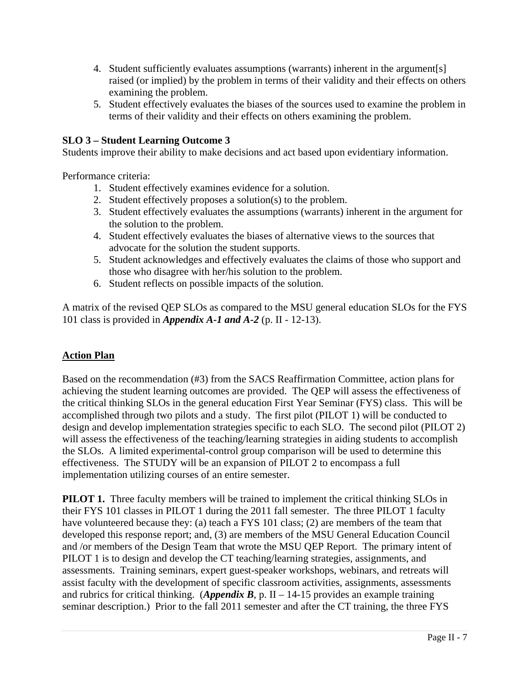- 4. Student sufficiently evaluates assumptions (warrants) inherent in the argument[s] raised (or implied) by the problem in terms of their validity and their effects on others examining the problem.
- 5. Student effectively evaluates the biases of the sources used to examine the problem in terms of their validity and their effects on others examining the problem.

# **SLO 3 – Student Learning Outcome 3**

Students improve their ability to make decisions and act based upon evidentiary information.

Performance criteria:

- 1. Student effectively examines evidence for a solution.
- 2. Student effectively proposes a solution(s) to the problem.
- 3. Student effectively evaluates the assumptions (warrants) inherent in the argument for the solution to the problem.
- 4. Student effectively evaluates the biases of alternative views to the sources that advocate for the solution the student supports.
- 5. Student acknowledges and effectively evaluates the claims of those who support and those who disagree with her/his solution to the problem.
- 6. Student reflects on possible impacts of the solution.

A matrix of the revised QEP SLOs as compared to the MSU general education SLOs for the FYS 101 class is provided in *Appendix A-1 and A-2* (p. II - 12-13).

# **Action Plan**

Based on the recommendation (#3) from the SACS Reaffirmation Committee, action plans for achieving the student learning outcomes are provided. The QEP will assess the effectiveness of the critical thinking SLOs in the general education First Year Seminar (FYS) class. This will be accomplished through two pilots and a study. The first pilot (PILOT 1) will be conducted to design and develop implementation strategies specific to each SLO. The second pilot (PILOT 2) will assess the effectiveness of the teaching/learning strategies in aiding students to accomplish the SLOs. A limited experimental-control group comparison will be used to determine this effectiveness. The STUDY will be an expansion of PILOT 2 to encompass a full implementation utilizing courses of an entire semester.

**PILOT 1.** Three faculty members will be trained to implement the critical thinking SLOs in their FYS 101 classes in PILOT 1 during the 2011 fall semester. The three PILOT 1 faculty have volunteered because they: (a) teach a FYS 101 class; (2) are members of the team that developed this response report; and, (3) are members of the MSU General Education Council and /or members of the Design Team that wrote the MSU QEP Report. The primary intent of PILOT 1 is to design and develop the CT teaching/learning strategies, assignments, and assessments. Training seminars, expert guest-speaker workshops, webinars, and retreats will assist faculty with the development of specific classroom activities, assignments, assessments and rubrics for critical thinking. (*Appendix B*, p. II – 14-15 provides an example training seminar description.) Prior to the fall 2011 semester and after the CT training, the three FYS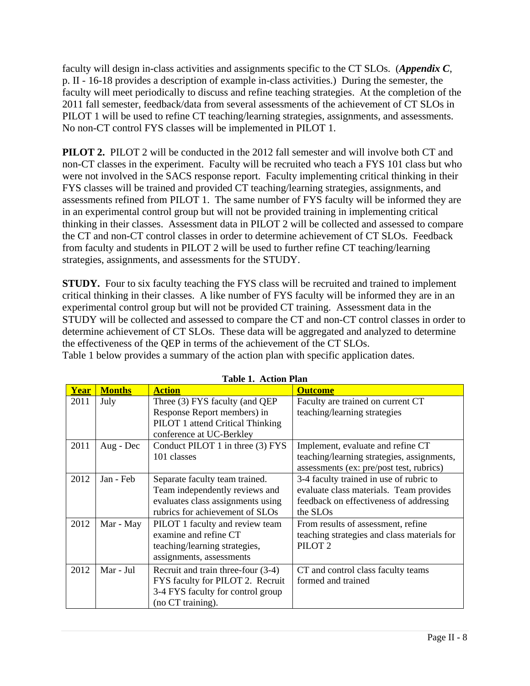faculty will design in-class activities and assignments specific to the CT SLOs. (*Appendix C*, p. II - 16-18 provides a description of example in-class activities.) During the semester, the faculty will meet periodically to discuss and refine teaching strategies. At the completion of the 2011 fall semester, feedback/data from several assessments of the achievement of CT SLOs in PILOT 1 will be used to refine CT teaching/learning strategies, assignments, and assessments. No non-CT control FYS classes will be implemented in PILOT 1.

**PILOT 2.** PILOT 2 will be conducted in the 2012 fall semester and will involve both CT and non-CT classes in the experiment. Faculty will be recruited who teach a FYS 101 class but who were not involved in the SACS response report. Faculty implementing critical thinking in their FYS classes will be trained and provided CT teaching/learning strategies, assignments, and assessments refined from PILOT 1. The same number of FYS faculty will be informed they are in an experimental control group but will not be provided training in implementing critical thinking in their classes. Assessment data in PILOT 2 will be collected and assessed to compare the CT and non-CT control classes in order to determine achievement of CT SLOs. Feedback from faculty and students in PILOT 2 will be used to further refine CT teaching/learning strategies, assignments, and assessments for the STUDY.

**STUDY.** Four to six faculty teaching the FYS class will be recruited and trained to implement critical thinking in their classes. A like number of FYS faculty will be informed they are in an experimental control group but will not be provided CT training. Assessment data in the STUDY will be collected and assessed to compare the CT and non-CT control classes in order to determine achievement of CT SLOs. These data will be aggregated and analyzed to determine the effectiveness of the QEP in terms of the achievement of the CT SLOs. Table 1 below provides a summary of the action plan with specific application dates.

| <b>Year</b> | <b>Months</b> | <b>Action</b>                      | <b>Outcome</b>                              |
|-------------|---------------|------------------------------------|---------------------------------------------|
| 2011        | July          | Three (3) FYS faculty (and QEP     | Faculty are trained on current CT           |
|             |               | Response Report members) in        | teaching/learning strategies                |
|             |               | PILOT 1 attend Critical Thinking   |                                             |
|             |               | conference at UC-Berkley           |                                             |
| 2011        | Aug - Dec     | Conduct PILOT 1 in three (3) FYS   | Implement, evaluate and refine CT           |
|             |               | 101 classes                        | teaching/learning strategies, assignments,  |
|             |               |                                    | assessments (ex: pre/post test, rubrics)    |
| 2012        | Jan - Feb     | Separate faculty team trained.     | 3-4 faculty trained in use of rubric to     |
|             |               | Team independently reviews and     | evaluate class materials. Team provides     |
|             |               | evaluates class assignments using  | feedback on effectiveness of addressing     |
|             |               | rubrics for achievement of SLOs    | the SLOs                                    |
| 2012        | Mar - May     | PILOT 1 faculty and review team    | From results of assessment, refine          |
|             |               | examine and refine CT              | teaching strategies and class materials for |
|             |               | teaching/learning strategies,      | PILOT <sub>2</sub>                          |
|             |               | assignments, assessments           |                                             |
| 2012        | Mar - Jul     | Recruit and train three-four (3-4) | CT and control class faculty teams          |
|             |               | FYS faculty for PILOT 2. Recruit   | formed and trained                          |
|             |               | 3-4 FYS faculty for control group  |                                             |
|             |               | (no CT training).                  |                                             |

# **Table 1. Action Plan**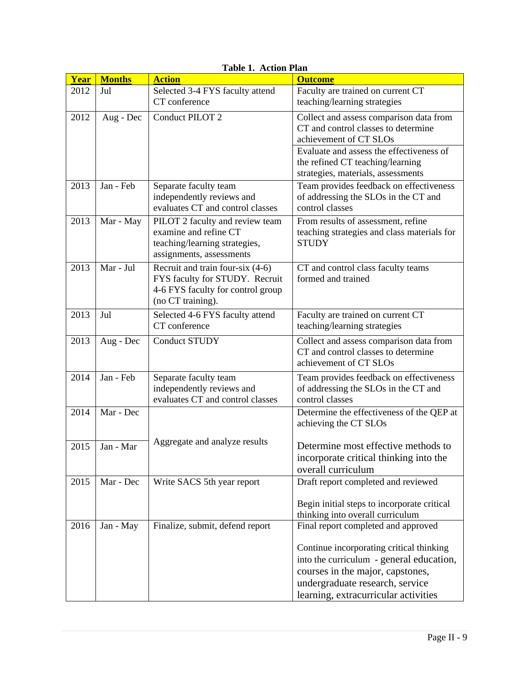| Year | <b>Months</b> | ravit 1. Atuvu rial<br><b>Action</b> | <b>Outcome</b>                              |
|------|---------------|--------------------------------------|---------------------------------------------|
|      |               |                                      |                                             |
| 2012 | Jul           | Selected 3-4 FYS faculty attend      | Faculty are trained on current CT           |
|      |               | CT conference                        | teaching/learning strategies                |
| 2012 | Aug - Dec     | Conduct PILOT 2                      | Collect and assess comparison data from     |
|      |               |                                      | CT and control classes to determine         |
|      |               |                                      | achievement of CT SLOs                      |
|      |               |                                      | Evaluate and assess the effectiveness of    |
|      |               |                                      | the refined CT teaching/learning            |
|      |               |                                      | strategies, materials, assessments          |
| 2013 | Jan - Feb     |                                      |                                             |
|      |               | Separate faculty team                | Team provides feedback on effectiveness     |
|      |               | independently reviews and            | of addressing the SLOs in the CT and        |
|      |               | evaluates CT and control classes     | control classes                             |
| 2013 | Mar - May     | PILOT 2 faculty and review team      | From results of assessment, refine          |
|      |               | examine and refine CT                | teaching strategies and class materials for |
|      |               | teaching/learning strategies,        | <b>STUDY</b>                                |
|      |               | assignments, assessments             |                                             |
| 2013 | Mar - Jul     | Recruit and train four-six (4-6)     | CT and control class faculty teams          |
|      |               | FYS faculty for STUDY. Recruit       | formed and trained                          |
|      |               | 4-6 FYS faculty for control group    |                                             |
|      |               | (no CT training).                    |                                             |
| 2013 | Jul           | Selected 4-6 FYS faculty attend      | Faculty are trained on current CT           |
|      |               | CT conference                        | teaching/learning strategies                |
|      |               |                                      |                                             |
| 2013 | Aug - Dec     | <b>Conduct STUDY</b>                 | Collect and assess comparison data from     |
|      |               |                                      | CT and control classes to determine         |
|      |               |                                      | achievement of CT SLOs                      |
| 2014 | Jan - Feb     | Separate faculty team                | Team provides feedback on effectiveness     |
|      |               | independently reviews and            | of addressing the SLOs in the CT and        |
|      |               | evaluates CT and control classes     | control classes                             |
| 2014 | Mar - Dec     |                                      | Determine the effectiveness of the QEP at   |
|      |               |                                      | achieving the CT SLOs                       |
|      |               |                                      |                                             |
| 2015 | Jan - Mar     | Aggregate and analyze results        | Determine most effective methods to         |
|      |               |                                      | incorporate critical thinking into the      |
|      |               |                                      | overall curriculum                          |
| 2015 | Mar - Dec     | Write SACS 5th year report           | Draft report completed and reviewed         |
|      |               |                                      |                                             |
|      |               |                                      | Begin initial steps to incorporate critical |
|      |               |                                      | thinking into overall curriculum            |
| 2016 | Jan - May     | Finalize, submit, defend report      | Final report completed and approved         |
|      |               |                                      |                                             |
|      |               |                                      | Continue incorporating critical thinking    |
|      |               |                                      | into the curriculum - general education,    |
|      |               |                                      | courses in the major, capstones,            |
|      |               |                                      | undergraduate research, service             |
|      |               |                                      |                                             |
|      |               |                                      | learning, extracurricular activities        |

**Table 1. Action Plan**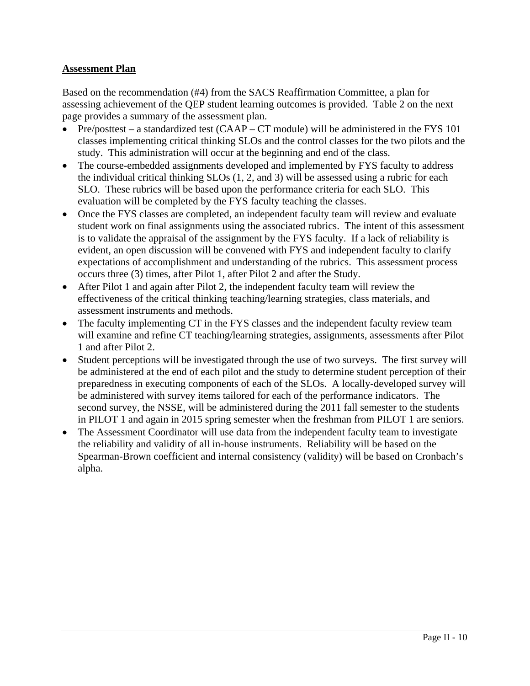# **Assessment Plan**

Based on the recommendation (#4) from the SACS Reaffirmation Committee, a plan for assessing achievement of the QEP student learning outcomes is provided. Table 2 on the next page provides a summary of the assessment plan.

- Pre/posttest a standardized test (CAAP CT module) will be administered in the FYS 101 classes implementing critical thinking SLOs and the control classes for the two pilots and the study. This administration will occur at the beginning and end of the class.
- The course-embedded assignments developed and implemented by FYS faculty to address the individual critical thinking SLOs (1, 2, and 3) will be assessed using a rubric for each SLO. These rubrics will be based upon the performance criteria for each SLO. This evaluation will be completed by the FYS faculty teaching the classes.
- Once the FYS classes are completed, an independent faculty team will review and evaluate student work on final assignments using the associated rubrics. The intent of this assessment is to validate the appraisal of the assignment by the FYS faculty. If a lack of reliability is evident, an open discussion will be convened with FYS and independent faculty to clarify expectations of accomplishment and understanding of the rubrics. This assessment process occurs three (3) times, after Pilot 1, after Pilot 2 and after the Study.
- After Pilot 1 and again after Pilot 2, the independent faculty team will review the effectiveness of the critical thinking teaching/learning strategies, class materials, and assessment instruments and methods.
- The faculty implementing CT in the FYS classes and the independent faculty review team will examine and refine CT teaching/learning strategies, assignments, assessments after Pilot 1 and after Pilot 2.
- Student perceptions will be investigated through the use of two surveys. The first survey will be administered at the end of each pilot and the study to determine student perception of their preparedness in executing components of each of the SLOs. A locally-developed survey will be administered with survey items tailored for each of the performance indicators. The second survey, the NSSE, will be administered during the 2011 fall semester to the students in PILOT 1 and again in 2015 spring semester when the freshman from PILOT 1 are seniors.
- The Assessment Coordinator will use data from the independent faculty team to investigate the reliability and validity of all in-house instruments. Reliability will be based on the Spearman-Brown coefficient and internal consistency (validity) will be based on Cronbach's alpha.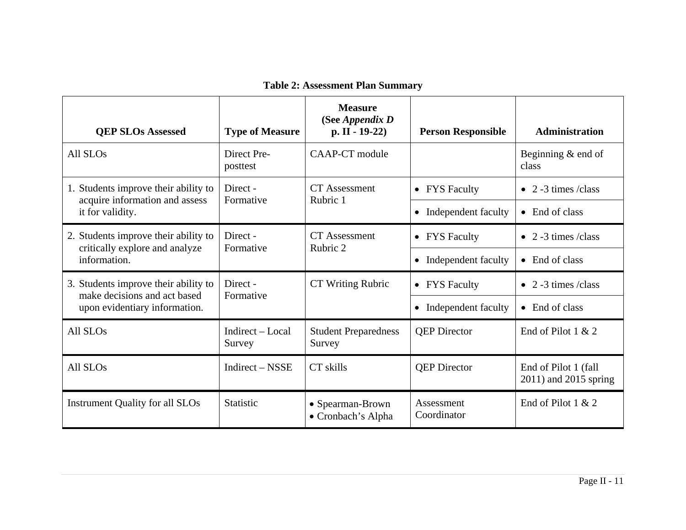| <b>QEP SLOs Assessed</b>                                               | <b>Type of Measure</b>     | <b>Measure</b><br>(See Appendix D<br>$p. II - 19-22$ | <b>Person Responsible</b>        | <b>Administration</b>                         |
|------------------------------------------------------------------------|----------------------------|------------------------------------------------------|----------------------------------|-----------------------------------------------|
| All SLO <sub>s</sub>                                                   | Direct Pre-<br>posttest    | CAAP-CT module                                       |                                  | Beginning $&$ end of<br>class                 |
| 1. Students improve their ability to<br>acquire information and assess | Direct -<br>Formative      | <b>CT</b> Assessment<br>Rubric 1                     | <b>FYS</b> Faculty<br>$\bullet$  | • 2 -3 times /class                           |
| it for validity.                                                       |                            |                                                      | Independent faculty<br>$\bullet$ | • End of class                                |
| 2. Students improve their ability to                                   | Direct -<br>Formative      | <b>CT</b> Assessment<br>Rubric 2                     | <b>FYS</b> Faculty<br>$\bullet$  | • 2 -3 times /class                           |
| critically explore and analyze<br>information.                         |                            |                                                      | Independent faculty<br>$\bullet$ | • End of class                                |
| 3. Students improve their ability to<br>make decisions and act based   | Direct -<br>Formative      | <b>CT Writing Rubric</b>                             | <b>FYS</b> Faculty<br>$\bullet$  | • 2 -3 times /class                           |
| upon evidentiary information.                                          |                            |                                                      | Independent faculty<br>$\bullet$ | End of class<br>$\bullet$                     |
| All SLOs                                                               | Indirect – Local<br>Survey | <b>Student Preparedness</b><br>Survey                | <b>QEP</b> Director              | End of Pilot $1 & 2$                          |
| All SLOs                                                               | Indirect – NSSE            | CT skills                                            | <b>QEP</b> Director              | End of Pilot 1 (fall<br>2011) and 2015 spring |
| <b>Instrument Quality for all SLOs</b>                                 | <b>Statistic</b>           | • Spearman-Brown<br>• Cronbach's Alpha               | Assessment<br>Coordinator        | End of Pilot $1 & 2$                          |

# **Table 2: Assessment Plan Summary**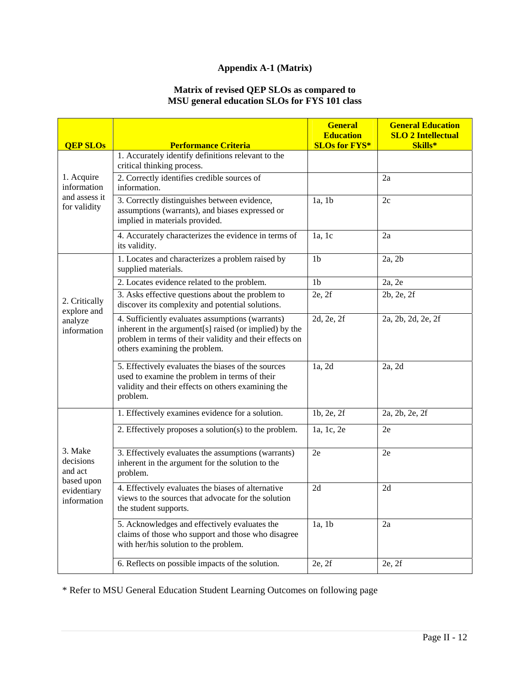# **Appendix A-1 (Matrix)**

#### **Matrix of revised QEP SLOs as compared to MSU general education SLOs for FYS 101 class**

| <b>QEP SLOs</b>                               | <b>Performance Criteria</b>                                                                                                                                                                            | <b>General</b><br><b>Education</b><br><b>SLOs for FYS*</b> | <b>General Education</b><br><b>SLO 2 Intellectual</b><br>Skills* |
|-----------------------------------------------|--------------------------------------------------------------------------------------------------------------------------------------------------------------------------------------------------------|------------------------------------------------------------|------------------------------------------------------------------|
|                                               | 1. Accurately identify definitions relevant to the<br>critical thinking process.                                                                                                                       |                                                            |                                                                  |
| 1. Acquire<br>information                     | 2. Correctly identifies credible sources of<br>information.                                                                                                                                            |                                                            | 2a                                                               |
| and assess it<br>for validity                 | 3. Correctly distinguishes between evidence,<br>assumptions (warrants), and biases expressed or<br>implied in materials provided.                                                                      | $1a$ , $1b$                                                | 2c                                                               |
|                                               | 4. Accurately characterizes the evidence in terms of<br>its validity.                                                                                                                                  | 1a, 1c                                                     | 2a                                                               |
|                                               | 1. Locates and characterizes a problem raised by<br>supplied materials.                                                                                                                                | 1 <sub>b</sub>                                             | 2a, 2b                                                           |
|                                               | 2. Locates evidence related to the problem.                                                                                                                                                            | 1 <sub>b</sub>                                             | 2a, 2e                                                           |
| 2. Critically<br>explore and                  | 3. Asks effective questions about the problem to<br>discover its complexity and potential solutions.                                                                                                   | 2e, 2f                                                     | 2b, 2e, 2f                                                       |
| analyze<br>information                        | 4. Sufficiently evaluates assumptions (warrants)<br>inherent in the argument[s] raised (or implied) by the<br>problem in terms of their validity and their effects on<br>others examining the problem. | 2d, 2e, 2f                                                 | 2a, 2b, 2d, 2e, 2f                                               |
|                                               | 5. Effectively evaluates the biases of the sources<br>used to examine the problem in terms of their<br>validity and their effects on others examining the<br>problem.                                  | 1a, 2d                                                     | 2a, 2d                                                           |
|                                               | 1. Effectively examines evidence for a solution.                                                                                                                                                       | 1b, 2e, 2f                                                 | 2a, 2b, 2e, 2f                                                   |
|                                               | 2. Effectively proposes a solution(s) to the problem.                                                                                                                                                  | 1a, 1c, 2e                                                 | 2e                                                               |
| 3. Make<br>decisions<br>and act<br>based upon | 3. Effectively evaluates the assumptions (warrants)<br>inherent in the argument for the solution to the<br>problem.                                                                                    | 2e                                                         | 2e                                                               |
| evidentiary<br>information                    | 4. Effectively evaluates the biases of alternative<br>views to the sources that advocate for the solution<br>the student supports.                                                                     | 2d                                                         | 2d                                                               |
|                                               | 5. Acknowledges and effectively evaluates the<br>claims of those who support and those who disagree<br>with her/his solution to the problem.                                                           | 1a, 1b                                                     | 2a                                                               |
|                                               | 6. Reflects on possible impacts of the solution.                                                                                                                                                       | 2e, 2f                                                     | 2e, 2f                                                           |

\* Refer to MSU General Education Student Learning Outcomes on following page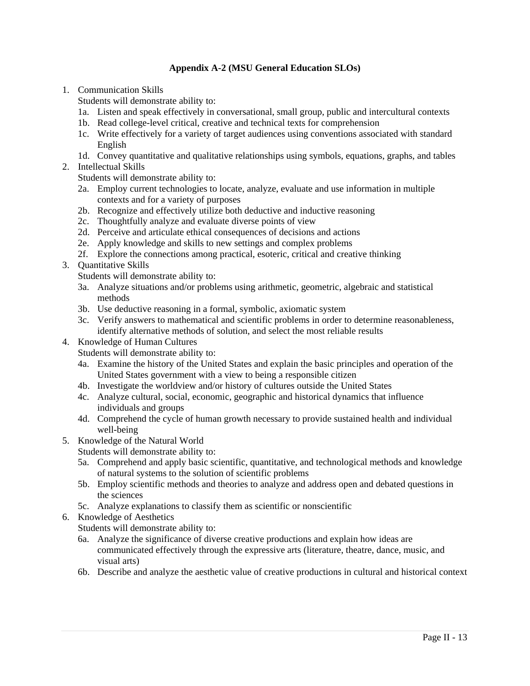#### **Appendix A-2 (MSU General Education SLOs)**

1. Communication Skills

Students will demonstrate ability to:

- 1a. Listen and speak effectively in conversational, small group, public and intercultural contexts
- 1b. Read college-level critical, creative and technical texts for comprehension
- 1c. Write effectively for a variety of target audiences using conventions associated with standard English
- 1d. Convey quantitative and qualitative relationships using symbols, equations, graphs, and tables
- 2. Intellectual Skills

Students will demonstrate ability to:

- 2a. Employ current technologies to locate, analyze, evaluate and use information in multiple contexts and for a variety of purposes
- 2b. Recognize and effectively utilize both deductive and inductive reasoning
- 2c. Thoughtfully analyze and evaluate diverse points of view
- 2d. Perceive and articulate ethical consequences of decisions and actions
- 2e. Apply knowledge and skills to new settings and complex problems
- 2f. Explore the connections among practical, esoteric, critical and creative thinking
- 3. Quantitative Skills

Students will demonstrate ability to:

- 3a. Analyze situations and/or problems using arithmetic, geometric, algebraic and statistical methods
- 3b. Use deductive reasoning in a formal, symbolic, axiomatic system
- 3c. Verify answers to mathematical and scientific problems in order to determine reasonableness, identify alternative methods of solution, and select the most reliable results
- 4. Knowledge of Human Cultures
	- Students will demonstrate ability to:
	- 4a. Examine the history of the United States and explain the basic principles and operation of the United States government with a view to being a responsible citizen
	- 4b. Investigate the worldview and/or history of cultures outside the United States
	- 4c. Analyze cultural, social, economic, geographic and historical dynamics that influence individuals and groups
	- 4d. Comprehend the cycle of human growth necessary to provide sustained health and individual well-being
- 5. Knowledge of the Natural World

Students will demonstrate ability to:

- 5a. Comprehend and apply basic scientific, quantitative, and technological methods and knowledge of natural systems to the solution of scientific problems
- 5b. Employ scientific methods and theories to analyze and address open and debated questions in the sciences
- 5c. Analyze explanations to classify them as scientific or nonscientific
- 6. Knowledge of Aesthetics

Students will demonstrate ability to:

- 6a. Analyze the significance of diverse creative productions and explain how ideas are communicated effectively through the expressive arts (literature, theatre, dance, music, and visual arts)
- 6b. Describe and analyze the aesthetic value of creative productions in cultural and historical context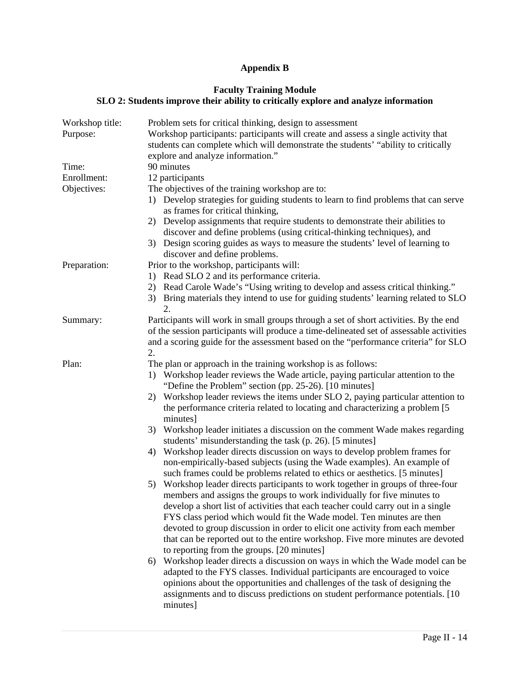# **Appendix B**

#### **Faculty Training Module SLO 2: Students improve their ability to critically explore and analyze information**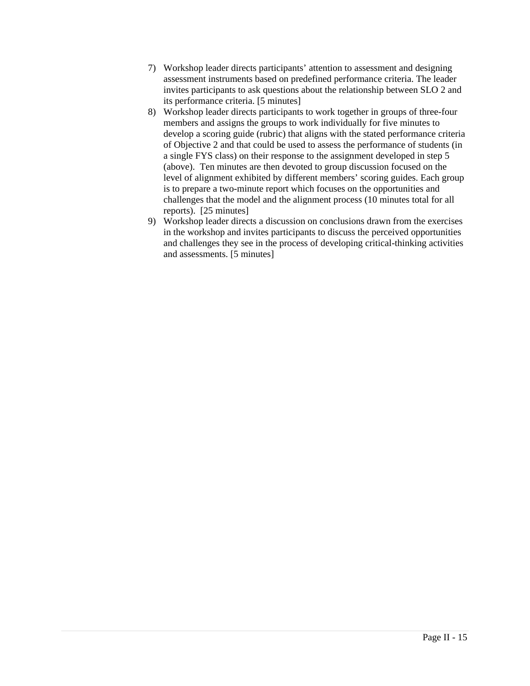- 7) Workshop leader directs participants' attention to assessment and designing assessment instruments based on predefined performance criteria. The leader invites participants to ask questions about the relationship between SLO 2 and its performance criteria. [5 minutes]
- 8) Workshop leader directs participants to work together in groups of three-four members and assigns the groups to work individually for five minutes to develop a scoring guide (rubric) that aligns with the stated performance criteria of Objective 2 and that could be used to assess the performance of students (in a single FYS class) on their response to the assignment developed in step 5 (above). Ten minutes are then devoted to group discussion focused on the level of alignment exhibited by different members' scoring guides. Each group is to prepare a two-minute report which focuses on the opportunities and challenges that the model and the alignment process (10 minutes total for all reports). [25 minutes]
- 9) Workshop leader directs a discussion on conclusions drawn from the exercises in the workshop and invites participants to discuss the perceived opportunities and challenges they see in the process of developing critical-thinking activities and assessments. [5 minutes]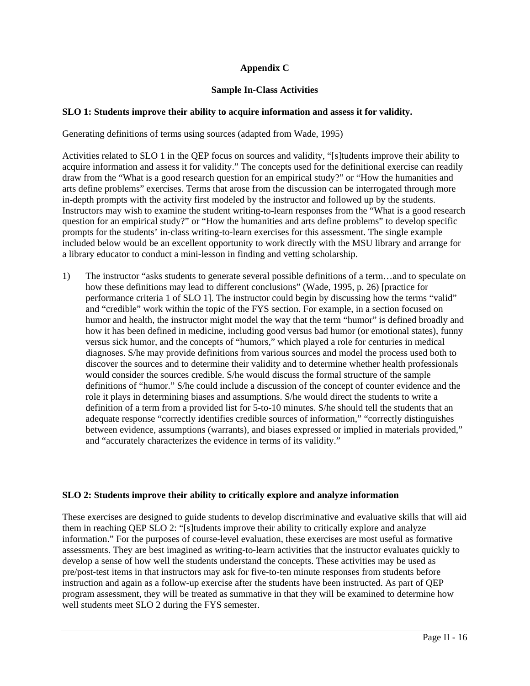#### **Appendix C**

#### **Sample In-Class Activities**

#### **SLO 1: Students improve their ability to acquire information and assess it for validity.**

Generating definitions of terms using sources (adapted from Wade, 1995)

Activities related to SLO 1 in the QEP focus on sources and validity, "[s]tudents improve their ability to acquire information and assess it for validity." The concepts used for the definitional exercise can readily draw from the "What is a good research question for an empirical study?" or "How the humanities and arts define problems" exercises. Terms that arose from the discussion can be interrogated through more in-depth prompts with the activity first modeled by the instructor and followed up by the students. Instructors may wish to examine the student writing-to-learn responses from the "What is a good research question for an empirical study?" or "How the humanities and arts define problems" to develop specific prompts for the students' in-class writing-to-learn exercises for this assessment. The single example included below would be an excellent opportunity to work directly with the MSU library and arrange for a library educator to conduct a mini-lesson in finding and vetting scholarship.

1) The instructor "asks students to generate several possible definitions of a term…and to speculate on how these definitions may lead to different conclusions" (Wade, 1995, p. 26) [practice for performance criteria 1 of SLO 1]. The instructor could begin by discussing how the terms "valid" and "credible" work within the topic of the FYS section. For example, in a section focused on humor and health, the instructor might model the way that the term "humor" is defined broadly and how it has been defined in medicine, including good versus bad humor (or emotional states), funny versus sick humor, and the concepts of "humors," which played a role for centuries in medical diagnoses. S/he may provide definitions from various sources and model the process used both to discover the sources and to determine their validity and to determine whether health professionals would consider the sources credible. S/he would discuss the formal structure of the sample definitions of "humor." S/he could include a discussion of the concept of counter evidence and the role it plays in determining biases and assumptions. S/he would direct the students to write a definition of a term from a provided list for 5-to-10 minutes. S/he should tell the students that an adequate response "correctly identifies credible sources of information," "correctly distinguishes between evidence, assumptions (warrants), and biases expressed or implied in materials provided," and "accurately characterizes the evidence in terms of its validity."

#### **SLO 2: Students improve their ability to critically explore and analyze information**

These exercises are designed to guide students to develop discriminative and evaluative skills that will aid them in reaching QEP SLO 2: "[s]tudents improve their ability to critically explore and analyze information." For the purposes of course-level evaluation, these exercises are most useful as formative assessments. They are best imagined as writing-to-learn activities that the instructor evaluates quickly to develop a sense of how well the students understand the concepts. These activities may be used as pre/post-test items in that instructors may ask for five-to-ten minute responses from students before instruction and again as a follow-up exercise after the students have been instructed. As part of QEP program assessment, they will be treated as summative in that they will be examined to determine how well students meet SLO 2 during the FYS semester.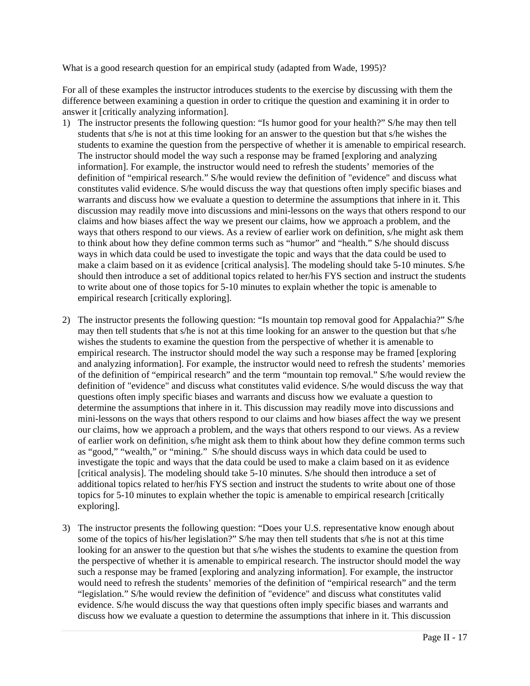What is a good research question for an empirical study (adapted from Wade, 1995)?

For all of these examples the instructor introduces students to the exercise by discussing with them the difference between examining a question in order to critique the question and examining it in order to answer it [critically analyzing information].

- 1) The instructor presents the following question: "Is humor good for your health?" S/he may then tell students that s/he is not at this time looking for an answer to the question but that s/he wishes the students to examine the question from the perspective of whether it is amenable to empirical research. The instructor should model the way such a response may be framed [exploring and analyzing information]. For example, the instructor would need to refresh the students' memories of the definition of "empirical research." S/he would review the definition of "evidence" and discuss what constitutes valid evidence. S/he would discuss the way that questions often imply specific biases and warrants and discuss how we evaluate a question to determine the assumptions that inhere in it. This discussion may readily move into discussions and mini-lessons on the ways that others respond to our claims and how biases affect the way we present our claims, how we approach a problem, and the ways that others respond to our views. As a review of earlier work on definition, s/he might ask them to think about how they define common terms such as "humor" and "health." S/he should discuss ways in which data could be used to investigate the topic and ways that the data could be used to make a claim based on it as evidence [critical analysis]. The modeling should take 5-10 minutes. S/he should then introduce a set of additional topics related to her/his FYS section and instruct the students to write about one of those topics for 5-10 minutes to explain whether the topic is amenable to empirical research [critically exploring].
- 2) The instructor presents the following question: "Is mountain top removal good for Appalachia?" S/he may then tell students that s/he is not at this time looking for an answer to the question but that s/he wishes the students to examine the question from the perspective of whether it is amenable to empirical research. The instructor should model the way such a response may be framed [exploring and analyzing information]. For example, the instructor would need to refresh the students' memories of the definition of "empirical research" and the term "mountain top removal." S/he would review the definition of "evidence" and discuss what constitutes valid evidence. S/he would discuss the way that questions often imply specific biases and warrants and discuss how we evaluate a question to determine the assumptions that inhere in it. This discussion may readily move into discussions and mini-lessons on the ways that others respond to our claims and how biases affect the way we present our claims, how we approach a problem, and the ways that others respond to our views. As a review of earlier work on definition, s/he might ask them to think about how they define common terms such as "good," "wealth," or "mining." S/he should discuss ways in which data could be used to investigate the topic and ways that the data could be used to make a claim based on it as evidence [critical analysis]. The modeling should take 5-10 minutes. S/he should then introduce a set of additional topics related to her/his FYS section and instruct the students to write about one of those topics for 5-10 minutes to explain whether the topic is amenable to empirical research [critically exploring].
- 3) The instructor presents the following question: "Does your U.S. representative know enough about some of the topics of his/her legislation?" S/he may then tell students that s/he is not at this time looking for an answer to the question but that s/he wishes the students to examine the question from the perspective of whether it is amenable to empirical research. The instructor should model the way such a response may be framed [exploring and analyzing information]. For example, the instructor would need to refresh the students' memories of the definition of "empirical research" and the term "legislation." S/he would review the definition of "evidence" and discuss what constitutes valid evidence. S/he would discuss the way that questions often imply specific biases and warrants and discuss how we evaluate a question to determine the assumptions that inhere in it. This discussion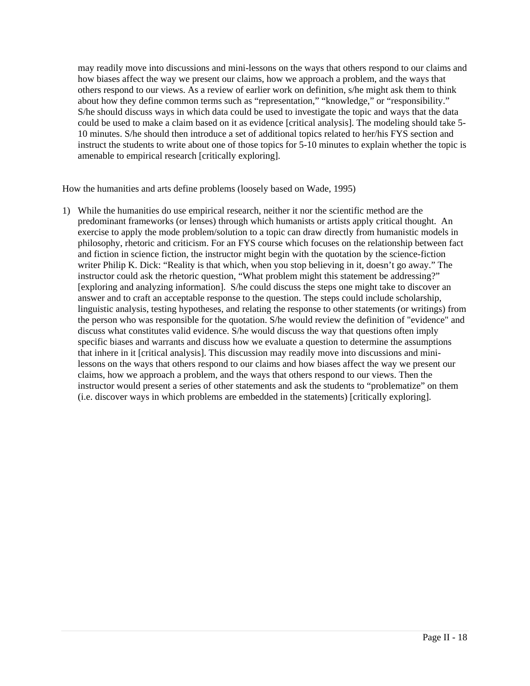may readily move into discussions and mini-lessons on the ways that others respond to our claims and how biases affect the way we present our claims, how we approach a problem, and the ways that others respond to our views. As a review of earlier work on definition, s/he might ask them to think about how they define common terms such as "representation," "knowledge," or "responsibility." S/he should discuss ways in which data could be used to investigate the topic and ways that the data could be used to make a claim based on it as evidence [critical analysis]. The modeling should take 5- 10 minutes. S/he should then introduce a set of additional topics related to her/his FYS section and instruct the students to write about one of those topics for 5-10 minutes to explain whether the topic is amenable to empirical research [critically exploring].

How the humanities and arts define problems (loosely based on Wade, 1995)

1) While the humanities do use empirical research, neither it nor the scientific method are the predominant frameworks (or lenses) through which humanists or artists apply critical thought. An exercise to apply the mode problem/solution to a topic can draw directly from humanistic models in philosophy, rhetoric and criticism. For an FYS course which focuses on the relationship between fact and fiction in science fiction, the instructor might begin with the quotation by the science-fiction writer Philip K. Dick: "Reality is that which, when you stop believing in it, doesn't go away." The instructor could ask the rhetoric question, "What problem might this statement be addressing?" [exploring and analyzing information]. S/he could discuss the steps one might take to discover an answer and to craft an acceptable response to the question. The steps could include scholarship, linguistic analysis, testing hypotheses, and relating the response to other statements (or writings) from the person who was responsible for the quotation. S/he would review the definition of "evidence" and discuss what constitutes valid evidence. S/he would discuss the way that questions often imply specific biases and warrants and discuss how we evaluate a question to determine the assumptions that inhere in it [critical analysis]. This discussion may readily move into discussions and minilessons on the ways that others respond to our claims and how biases affect the way we present our claims, how we approach a problem, and the ways that others respond to our views. Then the instructor would present a series of other statements and ask the students to "problematize" on them (i.e. discover ways in which problems are embedded in the statements) [critically exploring].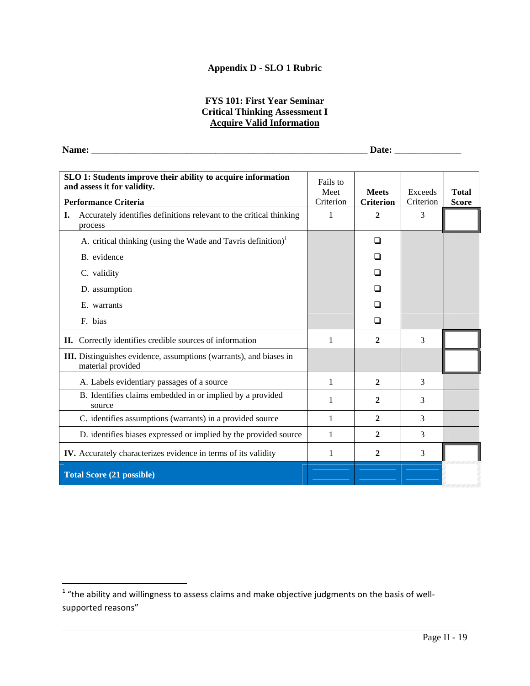# **Appendix D - SLO 1 Rubric**

#### **FYS 101: First Year Seminar Critical Thinking Assessment I Acquire Valid Information**

**Name:** \_\_\_\_\_\_\_\_\_\_\_\_\_\_\_\_\_\_\_\_\_\_\_\_\_\_\_\_\_\_\_\_\_\_\_\_\_\_\_\_\_\_\_\_\_\_\_\_\_\_\_\_\_\_\_\_\_\_ **Date:** \_\_\_\_\_\_\_\_\_\_\_\_\_\_

| SLO 1: Students improve their ability to acquire information<br>and assess it for validity. | Fails to<br>Meet | <b>Meets</b>     | Exceeds   | <b>Total</b> |
|---------------------------------------------------------------------------------------------|------------------|------------------|-----------|--------------|
| <b>Performance Criteria</b>                                                                 | Criterion        | <b>Criterion</b> | Criterion | <b>Score</b> |
| Accurately identifies definitions relevant to the critical thinking<br>I.<br>process        | 1                | $\mathbf{2}$     | 3         |              |
| A. critical thinking (using the Wade and Tavris definition) <sup>1</sup>                    |                  | ❏                |           |              |
| B. evidence                                                                                 |                  | □                |           |              |
| C. validity                                                                                 |                  | □                |           |              |
| D. assumption                                                                               |                  | $\Box$           |           |              |
| E. warrants                                                                                 |                  | □                |           |              |
| F. bias                                                                                     |                  | □                |           |              |
| II. Correctly identifies credible sources of information                                    | 1                | $\mathbf{2}$     | 3         |              |
| III. Distinguishes evidence, assumptions (warrants), and biases in<br>material provided     |                  |                  |           |              |
| A. Labels evidentiary passages of a source                                                  | 1                | $\mathbf{2}$     | 3         |              |
| B. Identifies claims embedded in or implied by a provided<br>source                         | 1                | $\mathbf{2}$     | 3         |              |
| C. identifies assumptions (warrants) in a provided source                                   | 1                | $\mathbf{2}$     | 3         |              |
| D. identifies biases expressed or implied by the provided source                            | 1                | $\mathbf{2}$     | 3         |              |
| IV. Accurately characterizes evidence in terms of its validity                              | 1                | $\mathbf{2}$     | 3         |              |
| <b>Total Score (21 possible)</b>                                                            |                  |                  |           |              |

<sup>&</sup>lt;sup>1</sup> "the ability and willingness to assess claims and make objective judgments on the basis of wellsupported reasons"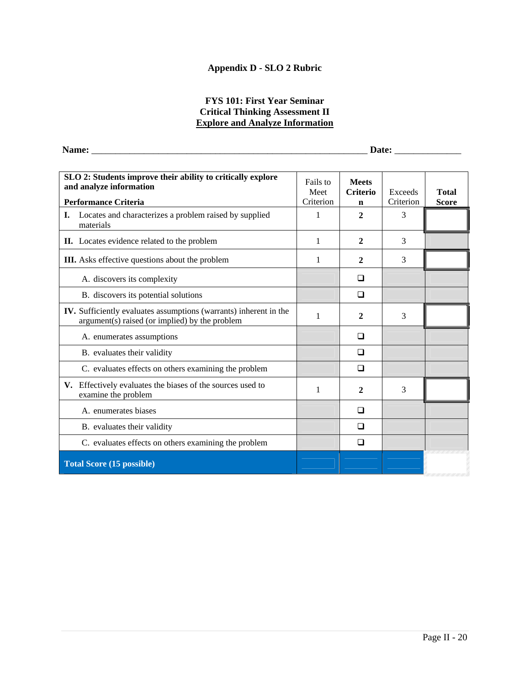# **Appendix D - SLO 2 Rubric**

#### **FYS 101: First Year Seminar Critical Thinking Assessment II Explore and Analyze Information**

| Name: | ________<br>______<br>___________ | DЯ<br>r n<br>---<br>-- |  |
|-------|-----------------------------------|------------------------|--|
|       |                                   |                        |  |

| SLO 2: Students improve their ability to critically explore<br>and analyze information                                     | Fails to<br>Meet | <b>Meets</b><br><b>Criterio</b> | Exceeds   | <b>Total</b> |
|----------------------------------------------------------------------------------------------------------------------------|------------------|---------------------------------|-----------|--------------|
| <b>Performance Criteria</b>                                                                                                | Criterion        | n                               | Criterion | <b>Score</b> |
| Locates and characterizes a problem raised by supplied<br>I.<br>materials                                                  | 1                | 2                               | 3         |              |
| <b>II.</b> Locates evidence related to the problem                                                                         | 1                | 2                               | 3         |              |
| III. Asks effective questions about the problem                                                                            | 1                | $\mathbf{2}$                    | 3         |              |
| A. discovers its complexity                                                                                                |                  | □                               |           |              |
| B. discovers its potential solutions                                                                                       |                  | □                               |           |              |
| <b>IV.</b> Sufficiently evaluates assumptions (warrants) inherent in the<br>argument(s) raised (or implied) by the problem | 1                | 2                               | 3         |              |
| A. enumerates assumptions                                                                                                  |                  | □                               |           |              |
| B. evaluates their validity                                                                                                |                  | □                               |           |              |
| C. evaluates effects on others examining the problem                                                                       |                  | □                               |           |              |
| V. Effectively evaluates the biases of the sources used to<br>examine the problem                                          | 1                | 2                               | 3         |              |
| A. enumerates biases                                                                                                       |                  | □                               |           |              |
| B. evaluates their validity                                                                                                |                  | □                               |           |              |
| C. evaluates effects on others examining the problem                                                                       |                  | $\Box$                          |           |              |
| <b>Total Score (15 possible)</b>                                                                                           |                  |                                 |           |              |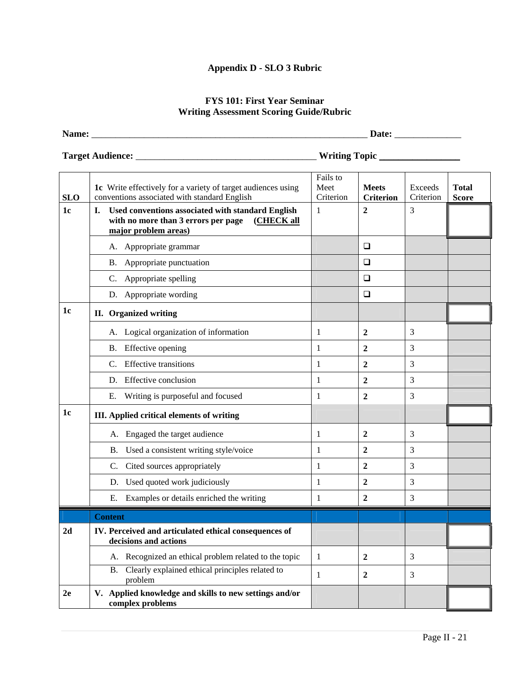# **Appendix D - SLO 3 Rubric**

# **FYS 101: First Year Seminar Writing Assessment Scoring Guide/Rubric**

| <b>Name</b><br>$\cdots$ | _____ | --<br>--- |  |
|-------------------------|-------|-----------|--|
|-------------------------|-------|-----------|--|

**Target Audience:** \_\_\_\_\_\_\_\_\_\_\_\_\_\_\_\_\_\_\_\_\_\_\_\_\_\_\_\_\_\_\_\_\_\_\_\_\_\_ **Writing Topic** \_\_\_\_\_\_\_\_\_\_\_\_\_\_\_\_\_

|            | 1c Write effectively for a variety of target audiences using                                                                      | Fails to<br>Meet | <b>Meets</b>     | Exceeds   | <b>Total</b> |
|------------|-----------------------------------------------------------------------------------------------------------------------------------|------------------|------------------|-----------|--------------|
| <b>SLO</b> | conventions associated with standard English                                                                                      | Criterion        | <b>Criterion</b> | Criterion | <b>Score</b> |
| 1c         | Used conventions associated with standard English<br>L.<br>with no more than 3 errors per page (CHECK all<br>major problem areas) | $\mathbf{1}$     | $\mathbf{2}$     | 3         |              |
|            | A. Appropriate grammar                                                                                                            |                  | ❏                |           |              |
|            | B. Appropriate punctuation                                                                                                        |                  | $\Box$           |           |              |
|            | C. Appropriate spelling                                                                                                           |                  | $\Box$           |           |              |
|            | D. Appropriate wording                                                                                                            |                  | $\Box$           |           |              |
| 1c         | II. Organized writing                                                                                                             |                  |                  |           |              |
|            | A. Logical organization of information                                                                                            | 1                | $\mathbf{2}$     | 3         |              |
|            | B. Effective opening                                                                                                              | 1                | $\overline{2}$   | 3         |              |
|            | C. Effective transitions                                                                                                          | 1                | $\overline{2}$   | 3         |              |
|            | D. Effective conclusion                                                                                                           | 1                | $\overline{2}$   | 3         |              |
|            | E. Writing is purposeful and focused                                                                                              | $\mathbf{1}$     | $\mathbf{2}$     | 3         |              |
| 1c         | III. Applied critical elements of writing                                                                                         |                  |                  |           |              |
|            | A. Engaged the target audience                                                                                                    | 1                | $\boldsymbol{2}$ | 3         |              |
|            | B. Used a consistent writing style/voice                                                                                          | $\mathbf{1}$     | $\overline{2}$   | 3         |              |
|            | Cited sources appropriately<br>C.                                                                                                 | 1                | $\boldsymbol{2}$ | 3         |              |
|            | D. Used quoted work judiciously                                                                                                   | $\mathbf{1}$     | $\overline{2}$   | 3         |              |
|            | Examples or details enriched the writing<br>Е.                                                                                    | $\mathbf{1}$     | $\overline{2}$   | 3         |              |
|            | <b>Content</b>                                                                                                                    |                  |                  |           |              |
| 2d         | IV. Perceived and articulated ethical consequences of<br>decisions and actions                                                    |                  |                  |           |              |
|            | A. Recognized an ethical problem related to the topic                                                                             | $\mathbf{1}$     | $\boldsymbol{2}$ | 3         |              |
|            | B. Clearly explained ethical principles related to<br>problem                                                                     | $\mathbf{1}$     | $\mathbf{2}$     | 3         |              |
| 2e         | V. Applied knowledge and skills to new settings and/or<br>complex problems                                                        |                  |                  |           |              |